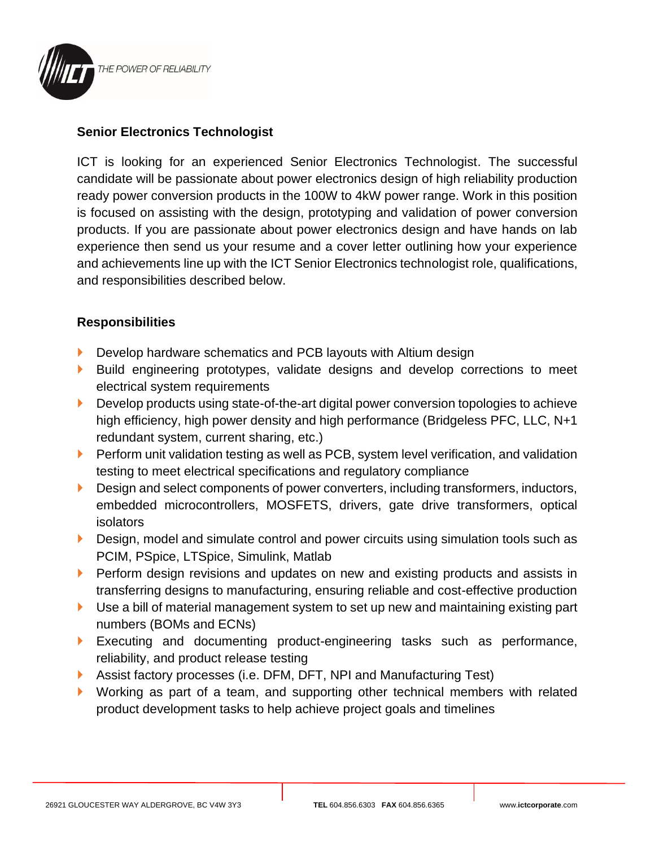

## **Senior Electronics Technologist**

ICT is looking for an experienced Senior Electronics Technologist. The successful candidate will be passionate about power electronics design of high reliability production ready power conversion products in the 100W to 4kW power range. Work in this position is focused on assisting with the design, prototyping and validation of power conversion products. If you are passionate about power electronics design and have hands on lab experience then send us your resume and a cover letter outlining how your experience and achievements line up with the ICT Senior Electronics technologist role, qualifications, and responsibilities described below.

## **Responsibilities**

- Develop hardware schematics and PCB layouts with Altium design
- Build engineering prototypes, validate designs and develop corrections to meet electrical system requirements
- **Develop products using state-of-the-art digital power conversion topologies to achieve** high efficiency, high power density and high performance (Bridgeless PFC, LLC, N+1 redundant system, current sharing, etc.)
- **Perform unit validation testing as well as PCB, system level verification, and validation** testing to meet electrical specifications and regulatory compliance
- Design and select components of power converters, including transformers, inductors, embedded microcontrollers, MOSFETS, drivers, gate drive transformers, optical isolators
- Design, model and simulate control and power circuits using simulation tools such as PCIM, PSpice, LTSpice, Simulink, Matlab
- **Perform design revisions and updates on new and existing products and assists in** transferring designs to manufacturing, ensuring reliable and cost-effective production
- Use a bill of material management system to set up new and maintaining existing part numbers (BOMs and ECNs)
- Executing and documenting product-engineering tasks such as performance, reliability, and product release testing
- Assist factory processes (i.e. DFM, DFT, NPI and Manufacturing Test)
- Working as part of a team, and supporting other technical members with related product development tasks to help achieve project goals and timelines